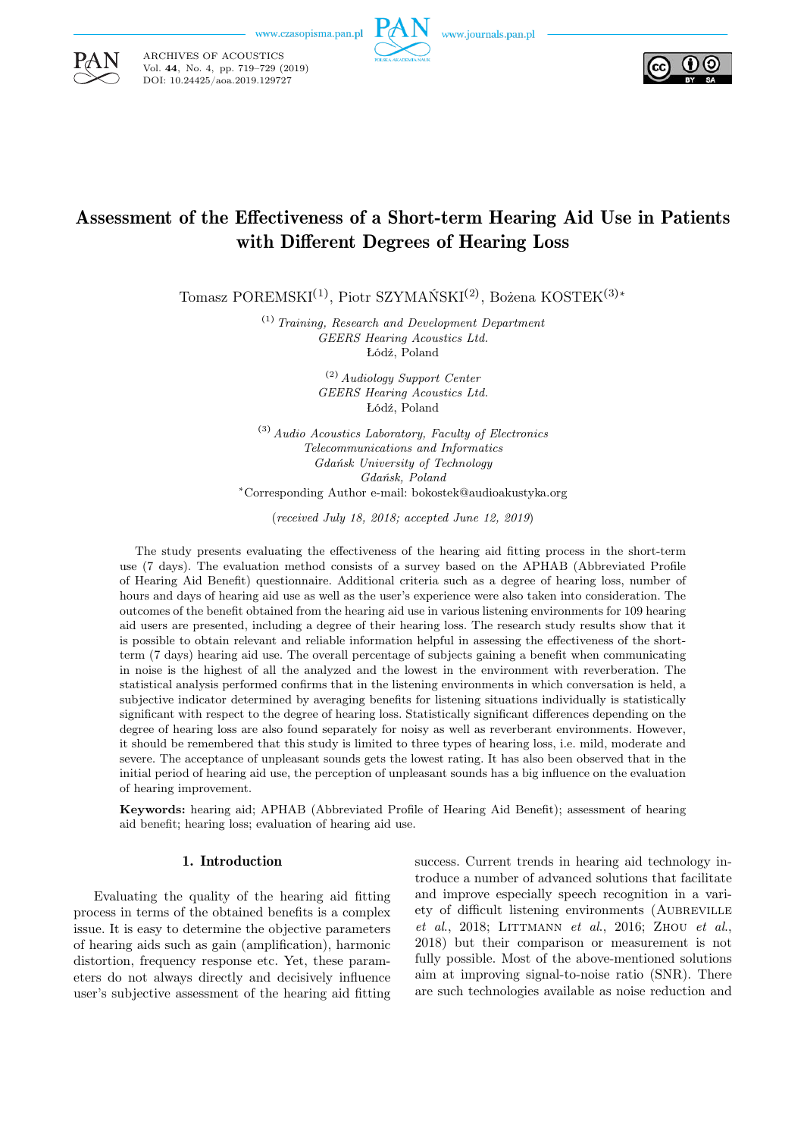

ARCHIVES OF ACOUSTICS Vol. 44, No. 4, pp. 719–729 (2019) DOI: 10.24425/aoa.2019.129727





# Assessment of the Effectiveness of a Short-term Hearing Aid Use in Patients with Different Degrees of Hearing Loss

Tomasz POREMSKI<sup>(1)</sup>, Piotr SZYMAŃSKI<sup>(2)</sup>, Bożena KOSTEK<sup>(3)∗</sup>

(1) Training, Research and Development Department GEERS Hearing Acoustics Ltd. Łódź, Poland

> (2) Audiology Support Center GEERS Hearing Acoustics Ltd. Łódź, Poland

 $^{(3)}$  Audio Acoustics Laboratory, Faculty of Electronics Telecommunications and Informatics Gdańsk University of Technology Gdańsk, Poland <sup>∗</sup>Corresponding Author e-mail: bokostek@audioakustyka.org

(received July 18, 2018; accepted June 12, 2019)

The study presents evaluating the effectiveness of the hearing aid fitting process in the short-term use (7 days). The evaluation method consists of a survey based on the APHAB (Abbreviated Profile of Hearing Aid Benefit) questionnaire. Additional criteria such as a degree of hearing loss, number of hours and days of hearing aid use as well as the user's experience were also taken into consideration. The outcomes of the benefit obtained from the hearing aid use in various listening environments for 109 hearing aid users are presented, including a degree of their hearing loss. The research study results show that it is possible to obtain relevant and reliable information helpful in assessing the effectiveness of the shortterm (7 days) hearing aid use. The overall percentage of subjects gaining a benefit when communicating in noise is the highest of all the analyzed and the lowest in the environment with reverberation. The statistical analysis performed confirms that in the listening environments in which conversation is held, a subjective indicator determined by averaging benefits for listening situations individually is statistically significant with respect to the degree of hearing loss. Statistically significant differences depending on the degree of hearing loss are also found separately for noisy as well as reverberant environments. However, it should be remembered that this study is limited to three types of hearing loss, i.e. mild, moderate and severe. The acceptance of unpleasant sounds gets the lowest rating. It has also been observed that in the initial period of hearing aid use, the perception of unpleasant sounds has a big influence on the evaluation of hearing improvement.

Keywords: hearing aid; APHAB (Abbreviated Profile of Hearing Aid Benefit); assessment of hearing aid benefit; hearing loss; evaluation of hearing aid use.

# 1. Introduction

Evaluating the quality of the hearing aid fitting process in terms of the obtained benefits is a complex issue. It is easy to determine the objective parameters of hearing aids such as gain (amplification), harmonic distortion, frequency response etc. Yet, these parameters do not always directly and decisively influence user's subjective assessment of the hearing aid fitting success. Current trends in hearing aid technology introduce a number of advanced solutions that facilitate and improve especially speech recognition in a variety of difficult listening environments (Aubreville et al., 2018; LITTMANN et al., 2016; ZHOU et al., 2018) but their comparison or measurement is not fully possible. Most of the above-mentioned solutions aim at improving signal-to-noise ratio (SNR). There are such technologies available as noise reduction and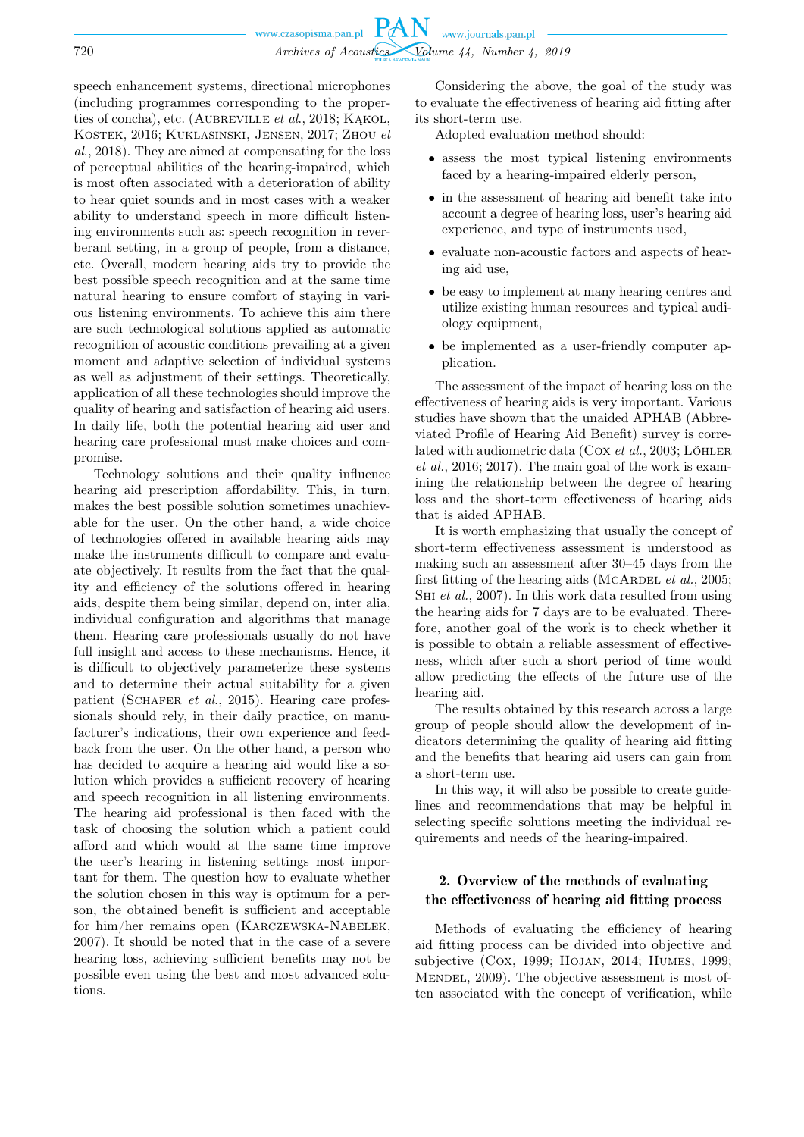speech enhancement systems, directional microphones (including programmes corresponding to the properties of concha), etc. (AUBREVILLE et al., 2018; KAKOL, Kostek, 2016; Kuklasinski, Jensen, 2017; Zhou et al., 2018). They are aimed at compensating for the loss of perceptual abilities of the hearing-impaired, which is most often associated with a deterioration of ability to hear quiet sounds and in most cases with a weaker ability to understand speech in more difficult listening environments such as: speech recognition in reverberant setting, in a group of people, from a distance, etc. Overall, modern hearing aids try to provide the best possible speech recognition and at the same time natural hearing to ensure comfort of staying in various listening environments. To achieve this aim there are such technological solutions applied as automatic recognition of acoustic conditions prevailing at a given moment and adaptive selection of individual systems as well as adjustment of their settings. Theoretically, application of all these technologies should improve the quality of hearing and satisfaction of hearing aid users. In daily life, both the potential hearing aid user and hearing care professional must make choices and compromise.

Technology solutions and their quality influence hearing aid prescription affordability. This, in turn, makes the best possible solution sometimes unachievable for the user. On the other hand, a wide choice of technologies offered in available hearing aids may make the instruments difficult to compare and evaluate objectively. It results from the fact that the quality and efficiency of the solutions offered in hearing aids, despite them being similar, depend on, inter alia, individual configuration and algorithms that manage them. Hearing care professionals usually do not have full insight and access to these mechanisms. Hence, it is difficult to objectively parameterize these systems and to determine their actual suitability for a given patient (SCHAFER et al., 2015). Hearing care professionals should rely, in their daily practice, on manufacturer's indications, their own experience and feedback from the user. On the other hand, a person who has decided to acquire a hearing aid would like a solution which provides a sufficient recovery of hearing and speech recognition in all listening environments. The hearing aid professional is then faced with the task of choosing the solution which a patient could afford and which would at the same time improve the user's hearing in listening settings most important for them. The question how to evaluate whether the solution chosen in this way is optimum for a person, the obtained benefit is sufficient and acceptable for him/her remains open (Karczewska-Nabelek, 2007). It should be noted that in the case of a severe hearing loss, achieving sufficient benefits may not be possible even using the best and most advanced solutions.

Considering the above, the goal of the study was to evaluate the effectiveness of hearing aid fitting after its short-term use.

Adopted evaluation method should:

- assess the most typical listening environments faced by a hearing-impaired elderly person,
- in the assessment of hearing aid benefit take into account a degree of hearing loss, user's hearing aid experience, and type of instruments used,
- evaluate non-acoustic factors and aspects of hearing aid use,
- be easy to implement at many hearing centres and utilize existing human resources and typical audiology equipment,
- be implemented as a user-friendly computer application.

The assessment of the impact of hearing loss on the effectiveness of hearing aids is very important. Various studies have shown that the unaided APHAB (Abbreviated Profile of Hearing Aid Benefit) survey is correlated with audiometric data (Cox et al., 2003; LÖHLER et al., 2016; 2017). The main goal of the work is examining the relationship between the degree of hearing loss and the short-term effectiveness of hearing aids that is aided APHAB.

It is worth emphasizing that usually the concept of short-term effectiveness assessment is understood as making such an assessment after 30–45 days from the first fitting of the hearing aids (MCARDEL et al., 2005; SHI et al., 2007). In this work data resulted from using the hearing aids for 7 days are to be evaluated. Therefore, another goal of the work is to check whether it is possible to obtain a reliable assessment of effectiveness, which after such a short period of time would allow predicting the effects of the future use of the hearing aid.

The results obtained by this research across a large group of people should allow the development of indicators determining the quality of hearing aid fitting and the benefits that hearing aid users can gain from a short-term use.

In this way, it will also be possible to create guidelines and recommendations that may be helpful in selecting specific solutions meeting the individual requirements and needs of the hearing-impaired.

# 2. Overview of the methods of evaluating the effectiveness of hearing aid fitting process

Methods of evaluating the efficiency of hearing aid fitting process can be divided into objective and subjective (Cox, 1999; Hojan, 2014; Humes, 1999; MENDEL, 2009). The objective assessment is most often associated with the concept of verification, while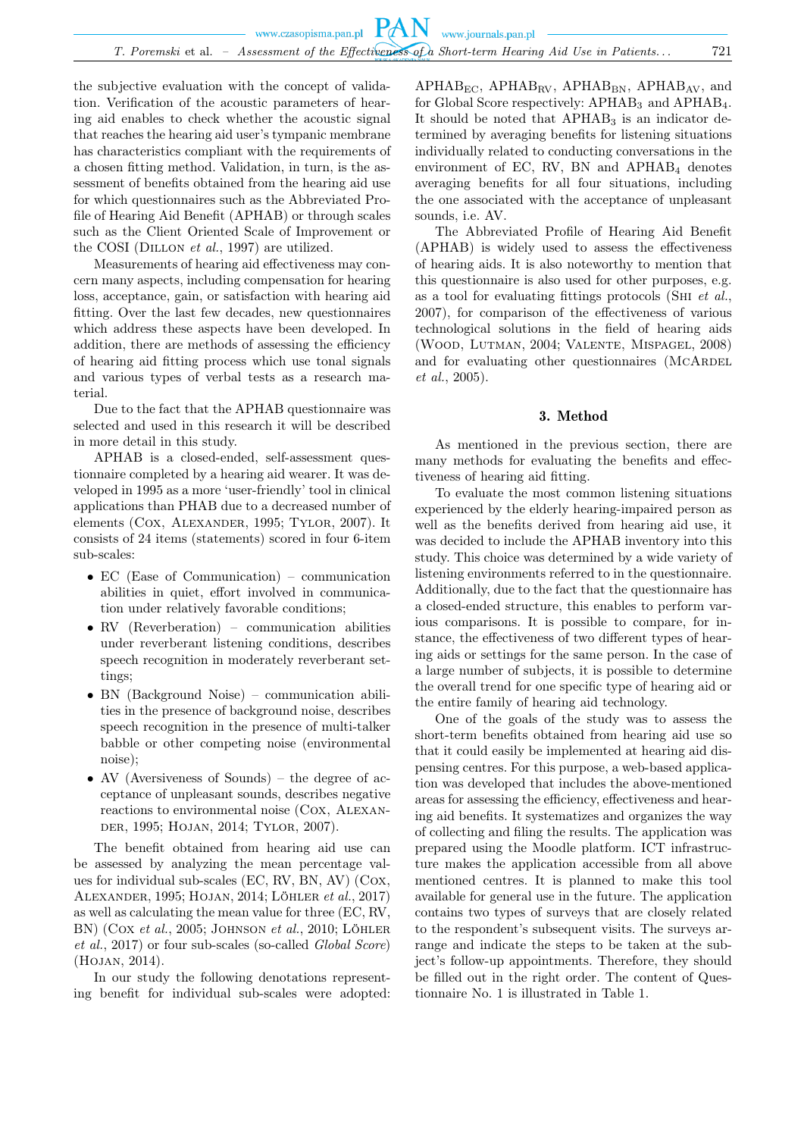the subjective evaluation with the concept of validation. Verification of the acoustic parameters of hearing aid enables to check whether the acoustic signal that reaches the hearing aid user's tympanic membrane has characteristics compliant with the requirements of a chosen fitting method. Validation, in turn, is the assessment of benefits obtained from the hearing aid use for which questionnaires such as the Abbreviated Profile of Hearing Aid Benefit (APHAB) or through scales such as the Client Oriented Scale of Improvement or the COSI (DILLON *et al.*, 1997) are utilized.

Measurements of hearing aid effectiveness may concern many aspects, including compensation for hearing loss, acceptance, gain, or satisfaction with hearing aid fitting. Over the last few decades, new questionnaires which address these aspects have been developed. In addition, there are methods of assessing the efficiency of hearing aid fitting process which use tonal signals and various types of verbal tests as a research material.

Due to the fact that the APHAB questionnaire was selected and used in this research it will be described in more detail in this study.

APHAB is a closed-ended, self-assessment questionnaire completed by a hearing aid wearer. It was developed in 1995 as a more 'user-friendly' tool in clinical applications than PHAB due to a decreased number of elements (Cox, Alexander, 1995; Tylor, 2007). It consists of 24 items (statements) scored in four 6-item sub-scales:

- EC (Ease of Communication) communication abilities in quiet, effort involved in communication under relatively favorable conditions;
- RV (Reverberation) communication abilities under reverberant listening conditions, describes speech recognition in moderately reverberant settings;
- BN (Background Noise) communication abilities in the presence of background noise, describes speech recognition in the presence of multi-talker babble or other competing noise (environmental noise);
- AV (Aversiveness of Sounds) the degree of acceptance of unpleasant sounds, describes negative reactions to environmental noise (Cox, Alexander, 1995; Hojan, 2014; Tylor, 2007).

The benefit obtained from hearing aid use can be assessed by analyzing the mean percentage values for individual sub-scales (EC, RV, BN, AV) (Cox, Alexander, 1995; Hojan, 2014; Löhler et al., 2017) as well as calculating the mean value for three (EC, RV, BN) (COX et al., 2005; JOHNSON et al., 2010; LÖHLER et al., 2017) or four sub-scales (so-called Global Score) (Hojan, 2014).

In our study the following denotations representing benefit for individual sub-scales were adopted:

 $APHAB_{EC}$ ,  $APHAB_{RV}$ ,  $APHAB_{BN}$ ,  $APHAB_{AV}$ , and for Global Score respectively:  $APHAB<sub>3</sub>$  and  $APHAB<sub>4</sub>$ . It should be noted that  $APHAB<sub>3</sub>$  is an indicator determined by averaging benefits for listening situations individually related to conducting conversations in the environment of EC, RV, BN and  $APHAB<sub>4</sub>$  denotes averaging benefits for all four situations, including the one associated with the acceptance of unpleasant sounds, i.e. AV.

The Abbreviated Profile of Hearing Aid Benefit (APHAB) is widely used to assess the effectiveness of hearing aids. It is also noteworthy to mention that this questionnaire is also used for other purposes, e.g. as a tool for evaluating fittings protocols (Shi et al., 2007), for comparison of the effectiveness of various technological solutions in the field of hearing aids (Wood, Lutman, 2004; Valente, Mispagel, 2008) and for evaluating other questionnaires (MCARDEL et al., 2005).

## 3. Method

As mentioned in the previous section, there are many methods for evaluating the benefits and effectiveness of hearing aid fitting.

To evaluate the most common listening situations experienced by the elderly hearing-impaired person as well as the benefits derived from hearing aid use, it was decided to include the APHAB inventory into this study. This choice was determined by a wide variety of listening environments referred to in the questionnaire. Additionally, due to the fact that the questionnaire has a closed-ended structure, this enables to perform various comparisons. It is possible to compare, for instance, the effectiveness of two different types of hearing aids or settings for the same person. In the case of a large number of subjects, it is possible to determine the overall trend for one specific type of hearing aid or the entire family of hearing aid technology.

One of the goals of the study was to assess the short-term benefits obtained from hearing aid use so that it could easily be implemented at hearing aid dispensing centres. For this purpose, a web-based application was developed that includes the above-mentioned areas for assessing the efficiency, effectiveness and hearing aid benefits. It systematizes and organizes the way of collecting and filing the results. The application was prepared using the Moodle platform. ICT infrastructure makes the application accessible from all above mentioned centres. It is planned to make this tool available for general use in the future. The application contains two types of surveys that are closely related to the respondent's subsequent visits. The surveys arrange and indicate the steps to be taken at the subject's follow-up appointments. Therefore, they should be filled out in the right order. The content of Questionnaire No. 1 is illustrated in Table 1.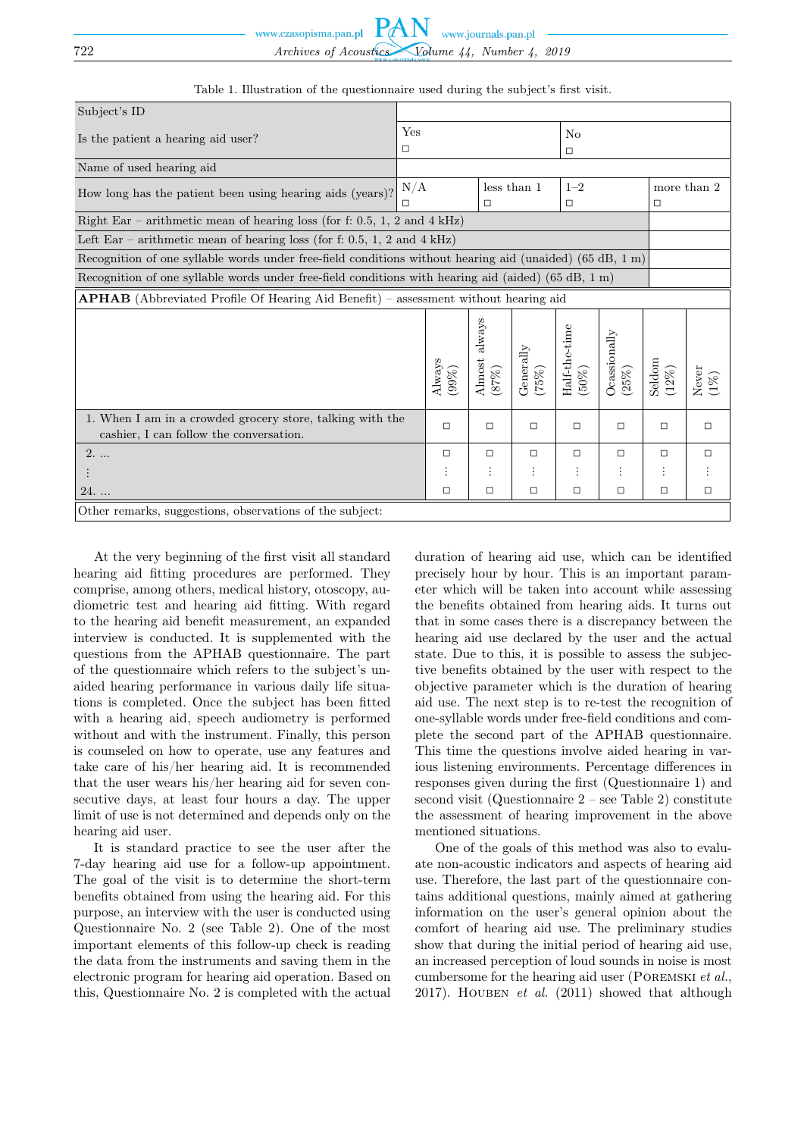| Subject's ID                                                                                             |          |             |                         |                       |                         |                           |                  |        |
|----------------------------------------------------------------------------------------------------------|----------|-------------|-------------------------|-----------------------|-------------------------|---------------------------|------------------|--------|
| Is the patient a hearing aid user?                                                                       |          | Yes         |                         |                       | N <sub>o</sub>          |                           |                  |        |
|                                                                                                          |          | $\Box$      |                         |                       | $\Box$                  |                           |                  |        |
| Name of used hearing aid                                                                                 |          |             |                         |                       |                         |                           |                  |        |
| How long has the patient been using hearing aids (years)?                                                | N/A      | less than 1 |                         |                       | $1 - 2$                 |                           | more than 2      |        |
|                                                                                                          | П        | п           |                         | $\Box$                |                         | $\Box$                    |                  |        |
| Right Ear – arithmetic mean of hearing loss (for f: 0.5, 1, 2 and 4 kHz)                                 |          |             |                         |                       |                         |                           |                  |        |
| Left Ear – arithmetic mean of hearing loss (for f: 0.5, 1, 2 and 4 kHz)                                  |          |             |                         |                       |                         |                           |                  |        |
| Recognition of one syllable words under free-field conditions without hearing aid (unaided) (65 dB, 1 m) |          |             |                         |                       |                         |                           |                  |        |
| Recognition of one syllable words under free-field conditions with hearing aid (aided) (65 dB, 1 m)      |          |             |                         |                       |                         |                           |                  |        |
| <b>APHAB</b> (Abbreviated Profile Of Hearing Aid Benefit) – assessment without hearing aid               |          |             |                         |                       |                         |                           |                  |        |
|                                                                                                          | Always   | 99%)        | Almost always<br>$87\%$ | Generally<br>$(75\%)$ | Half-the-time<br>$50\%$ | $O$ cassionally<br>$25\%$ | Seldom<br>$12\%$ |        |
| 1. When I am in a crowded grocery store, talking with the<br>cashier, I can follow the conversation.     | $\Box$   |             | $\Box$                  | $\Box$                | $\Box$                  | $\Box$                    | $\Box$           | □      |
| $2. \dots$                                                                                               | $\Box$   |             | $\Box$                  | $\Box$                | $\Box$                  | $\Box$                    | □                | □      |
|                                                                                                          | $\vdots$ |             | $\vdots$                | $\vdots$              | $\vdots$                | $\vdots$                  | $\vdots$         |        |
| $24.$                                                                                                    | $\Box$   |             | $\Box$                  | $\Box$                | $\Box$                  | $\Box$                    | □                | $\Box$ |
| Other remarks, suggestions, observations of the subject:                                                 |          |             |                         |                       |                         |                           |                  |        |

Table 1. Illustration of the questionnaire used during the subject's first visit.

At the very beginning of the first visit all standard hearing aid fitting procedures are performed. They comprise, among others, medical history, otoscopy, audiometric test and hearing aid fitting. With regard to the hearing aid benefit measurement, an expanded interview is conducted. It is supplemented with the questions from the APHAB questionnaire. The part of the questionnaire which refers to the subject's unaided hearing performance in various daily life situations is completed. Once the subject has been fitted with a hearing aid, speech audiometry is performed without and with the instrument. Finally, this person is counseled on how to operate, use any features and take care of his/her hearing aid. It is recommended that the user wears his/her hearing aid for seven consecutive days, at least four hours a day. The upper limit of use is not determined and depends only on the hearing aid user.

It is standard practice to see the user after the 7-day hearing aid use for a follow-up appointment. The goal of the visit is to determine the short-term benefits obtained from using the hearing aid. For this purpose, an interview with the user is conducted using Questionnaire No. 2 (see Table 2). One of the most important elements of this follow-up check is reading the data from the instruments and saving them in the electronic program for hearing aid operation. Based on this, Questionnaire No. 2 is completed with the actual

duration of hearing aid use, which can be identified precisely hour by hour. This is an important parameter which will be taken into account while assessing the benefits obtained from hearing aids. It turns out that in some cases there is a discrepancy between the hearing aid use declared by the user and the actual state. Due to this, it is possible to assess the subjective benefits obtained by the user with respect to the objective parameter which is the duration of hearing aid use. The next step is to re-test the recognition of one-syllable words under free-field conditions and complete the second part of the APHAB questionnaire. This time the questions involve aided hearing in various listening environments. Percentage differences in responses given during the first (Questionnaire 1) and second visit (Questionnaire 2 – see Table 2) constitute the assessment of hearing improvement in the above mentioned situations.

One of the goals of this method was also to evaluate non-acoustic indicators and aspects of hearing aid use. Therefore, the last part of the questionnaire contains additional questions, mainly aimed at gathering information on the user's general opinion about the comfort of hearing aid use. The preliminary studies show that during the initial period of hearing aid use, an increased perception of loud sounds in noise is most cumbersome for the hearing aid user (Poremski et al., 2017). HOUBEN et al.  $(2011)$  showed that although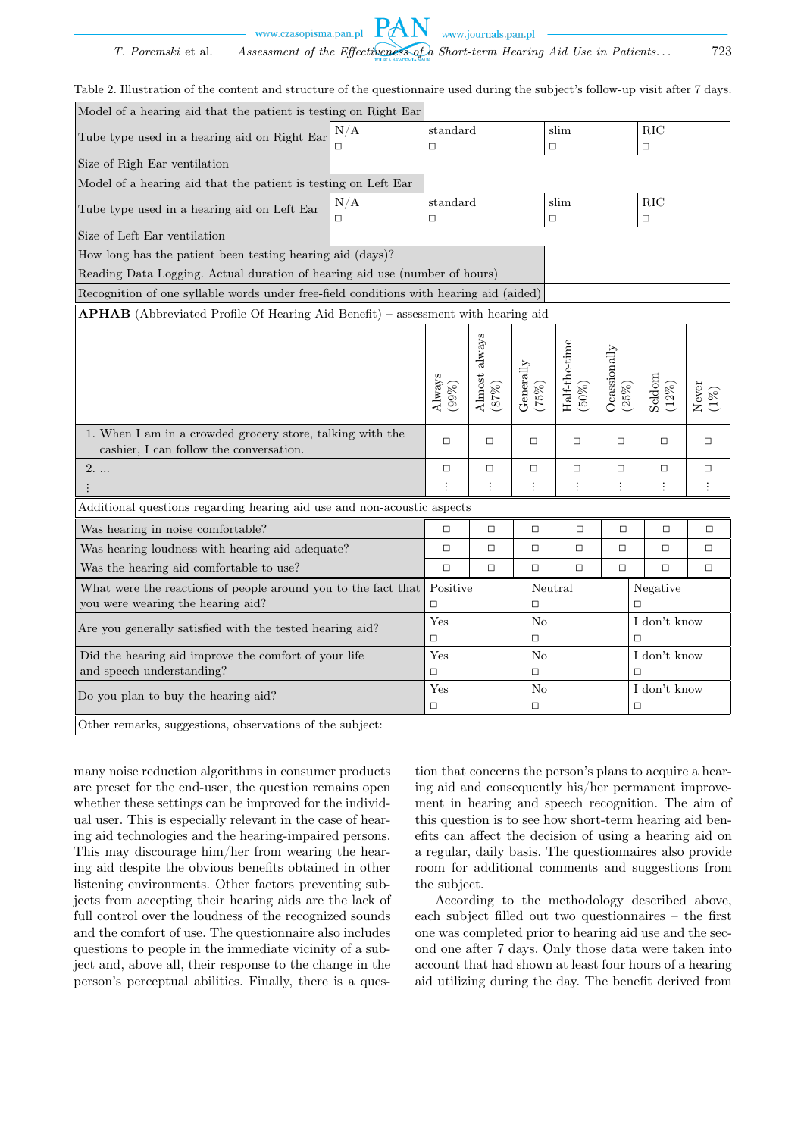www.czasopisma.pan.pl

www.journals.pan.pl

Table 2. Illustration of the content and structure of the questionnaire used during the subject's follow-up visit after 7 days.

**PAN** 

| Model of a hearing aid that the patient is testing on Right Ear                                      |     |                             |                           |                      |                         |                          |                    |                |
|------------------------------------------------------------------------------------------------------|-----|-----------------------------|---------------------------|----------------------|-------------------------|--------------------------|--------------------|----------------|
| Tube type used in a hearing aid on Right Ear                                                         | N/A | $\operatorname{standard}$   |                           | slim                 |                         | <b>RIC</b>               |                    |                |
|                                                                                                      | □   | $\Box$                      |                           | $\Box$               |                         | $\Box$                   |                    |                |
| Size of Righ Ear ventilation                                                                         |     |                             |                           |                      |                         |                          |                    |                |
| Model of a hearing aid that the patient is testing on Left Ear                                       |     |                             |                           |                      |                         |                          |                    |                |
| Tube type used in a hearing aid on Left Ear                                                          | N/A | standard                    |                           |                      | slim                    |                          | RIC                |                |
|                                                                                                      | □   | $\Box$                      |                           | $\Box$               |                         | $\Box$                   |                    |                |
| Size of Left Ear ventilation                                                                         |     |                             |                           |                      |                         |                          |                    |                |
| How long has the patient been testing hearing aid (days)?                                            |     |                             |                           |                      |                         |                          |                    |                |
| Reading Data Logging. Actual duration of hearing aid use (number of hours)                           |     |                             |                           |                      |                         |                          |                    |                |
| Recognition of one syllable words under free-field conditions with hearing aid (aided)               |     |                             |                           |                      |                         |                          |                    |                |
| <b>APHAB</b> (Abbreviated Profile Of Hearing Aid Benefit) – assessment with hearing aid              |     |                             |                           |                      |                         |                          |                    |                |
|                                                                                                      |     | $\mathbf{A}$ lways<br>(99%) | Almost always<br>$(87\%)$ | Generally<br>$(262)$ | Half-the-time<br>$50\%$ | Ocassionally<br>$(25\%)$ | Seldom<br>$(12\%)$ | Never<br>$1\%$ |
| 1. When I am in a crowded grocery store, talking with the<br>cashier, I can follow the conversation. |     | $\Box$                      | $\Box$                    | $\Box$               | $\Box$                  | $\Box$                   | $\Box$             | $\Box$         |
| $2. \ldots$                                                                                          |     | $\Box$                      | $\Box$                    | $\Box$               | $\Box$                  | $\Box$                   | $\Box$             | $\Box$         |
|                                                                                                      |     | $\colon$                    | $\vdots$                  | $\vdots$             | $\vdots$                | $\vdots$                 | $\vdots$           | $\vdots$       |
| Additional questions regarding hearing aid use and non-acoustic aspects                              |     |                             |                           |                      |                         |                          |                    |                |
| Was hearing in noise comfortable?                                                                    |     | $\Box$                      | $\Box$                    | $\Box$               | $\Box$                  | $\Box$                   | $\Box$             | $\Box$         |
| Was hearing loudness with hearing aid adequate?                                                      |     | $\Box$                      | $\Box$                    | $\Box$               | $\Box$                  | $\Box$                   | $\Box$             | □              |
| Was the hearing aid comfortable to use?                                                              |     | $\Box$                      | $\Box$                    | $\Box$               | $\Box$                  | $\Box$                   | $\Box$             | $\Box$         |
| What were the reactions of people around you to the fact that                                        |     | Positive                    |                           | Neutral              |                         | Negative                 |                    |                |
| you were wearing the hearing aid?                                                                    |     | $\Box$<br>$\Box$            |                           |                      |                         | $\Box$                   |                    |                |
| Are you generally satisfied with the tested hearing aid?                                             |     | Yes                         |                           | N <sub>o</sub>       |                         |                          | I don't know       |                |
|                                                                                                      |     | $\Box$<br>$\Box$            |                           |                      |                         | $\Box$                   |                    |                |
| Did the hearing aid improve the comfort of your life                                                 |     | Yes<br>No                   |                           |                      |                         | I don't know             |                    |                |
| and speech understanding?                                                                            |     | $\Box$                      |                           | $\Box$               |                         |                          | $\Box$             |                |
| Do you plan to buy the hearing aid?                                                                  |     | Yes                         |                           | No                   |                         |                          | I don't know       |                |
|                                                                                                      |     | □                           |                           | $\Box$               |                         |                          | $\Box$             |                |
| Other remarks, suggestions, observations of the subject:                                             |     |                             |                           |                      |                         |                          |                    |                |

many noise reduction algorithms in consumer products are preset for the end-user, the question remains open whether these settings can be improved for the individual user. This is especially relevant in the case of hearing aid technologies and the hearing-impaired persons. This may discourage him/her from wearing the hearing aid despite the obvious benefits obtained in other listening environments. Other factors preventing subjects from accepting their hearing aids are the lack of full control over the loudness of the recognized sounds and the comfort of use. The questionnaire also includes questions to people in the immediate vicinity of a subject and, above all, their response to the change in the person's perceptual abilities. Finally, there is a ques-

tion that concerns the person's plans to acquire a hearing aid and consequently his/her permanent improvement in hearing and speech recognition. The aim of this question is to see how short-term hearing aid benefits can affect the decision of using a hearing aid on a regular, daily basis. The questionnaires also provide room for additional comments and suggestions from the subject.

According to the methodology described above, each subject filled out two questionnaires – the first one was completed prior to hearing aid use and the second one after 7 days. Only those data were taken into account that had shown at least four hours of a hearing aid utilizing during the day. The benefit derived from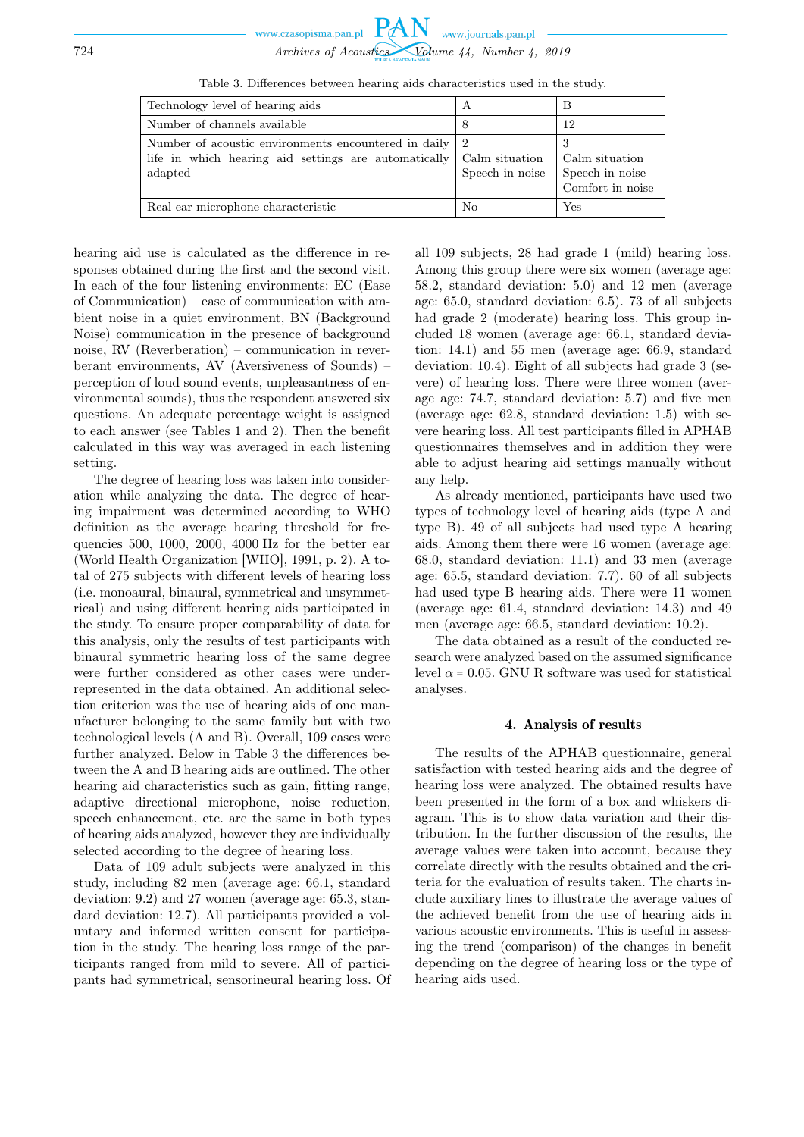| Technology level of hearing aids                                                                                          | А                                 | B                                                          |
|---------------------------------------------------------------------------------------------------------------------------|-----------------------------------|------------------------------------------------------------|
| Number of channels available                                                                                              | 8                                 | 12                                                         |
| Number of acoustic environments encountered in daily 2<br>life in which hearing aid settings are automatically<br>adapted | Calm situation<br>Speech in noise | 3<br>Calm situation<br>Speech in noise<br>Comfort in noise |
| Real ear microphone characteristic                                                                                        | No                                | $_{\rm Yes}$                                               |

Table 3. Differences between hearing aids characteristics used in the study.

hearing aid use is calculated as the difference in responses obtained during the first and the second visit. In each of the four listening environments: EC (Ease of Communication) – ease of communication with ambient noise in a quiet environment, BN (Background Noise) communication in the presence of background noise, RV (Reverberation) – communication in reverberant environments, AV (Aversiveness of Sounds) – perception of loud sound events, unpleasantness of environmental sounds), thus the respondent answered six questions. An adequate percentage weight is assigned to each answer (see Tables 1 and 2). Then the benefit calculated in this way was averaged in each listening setting.

The degree of hearing loss was taken into consideration while analyzing the data. The degree of hearing impairment was determined according to WHO definition as the average hearing threshold for frequencies 500, 1000, 2000, 4000 Hz for the better ear (World Health Organization [WHO], 1991, p. 2). A total of 275 subjects with different levels of hearing loss (i.e. monoaural, binaural, symmetrical and unsymmetrical) and using different hearing aids participated in the study. To ensure proper comparability of data for this analysis, only the results of test participants with binaural symmetric hearing loss of the same degree were further considered as other cases were underrepresented in the data obtained. An additional selection criterion was the use of hearing aids of one manufacturer belonging to the same family but with two technological levels (A and B). Overall, 109 cases were further analyzed. Below in Table 3 the differences between the A and B hearing aids are outlined. The other hearing aid characteristics such as gain, fitting range, adaptive directional microphone, noise reduction, speech enhancement, etc. are the same in both types of hearing aids analyzed, however they are individually selected according to the degree of hearing loss.

Data of 109 adult subjects were analyzed in this study, including 82 men (average age: 66.1, standard deviation: 9.2) and 27 women (average age: 65.3, standard deviation: 12.7). All participants provided a voluntary and informed written consent for participation in the study. The hearing loss range of the participants ranged from mild to severe. All of participants had symmetrical, sensorineural hearing loss. Of all 109 subjects, 28 had grade 1 (mild) hearing loss. Among this group there were six women (average age: 58.2, standard deviation: 5.0) and 12 men (average age: 65.0, standard deviation: 6.5). 73 of all subjects had grade 2 (moderate) hearing loss. This group included 18 women (average age: 66.1, standard deviation: 14.1) and 55 men (average age: 66.9, standard deviation: 10.4). Eight of all subjects had grade 3 (severe) of hearing loss. There were three women (average age: 74.7, standard deviation: 5.7) and five men (average age: 62.8, standard deviation: 1.5) with severe hearing loss. All test participants filled in APHAB questionnaires themselves and in addition they were able to adjust hearing aid settings manually without any help.

As already mentioned, participants have used two types of technology level of hearing aids (type A and type B). 49 of all subjects had used type A hearing aids. Among them there were 16 women (average age: 68.0, standard deviation: 11.1) and 33 men (average age: 65.5, standard deviation: 7.7). 60 of all subjects had used type B hearing aids. There were 11 women (average age: 61.4, standard deviation: 14.3) and 49 men (average age: 66.5, standard deviation: 10.2).

The data obtained as a result of the conducted research were analyzed based on the assumed significance level  $\alpha$  = 0.05. GNU R software was used for statistical analyses.

#### 4. Analysis of results

The results of the APHAB questionnaire, general satisfaction with tested hearing aids and the degree of hearing loss were analyzed. The obtained results have been presented in the form of a box and whiskers diagram. This is to show data variation and their distribution. In the further discussion of the results, the average values were taken into account, because they correlate directly with the results obtained and the criteria for the evaluation of results taken. The charts include auxiliary lines to illustrate the average values of the achieved benefit from the use of hearing aids in various acoustic environments. This is useful in assessing the trend (comparison) of the changes in benefit depending on the degree of hearing loss or the type of hearing aids used.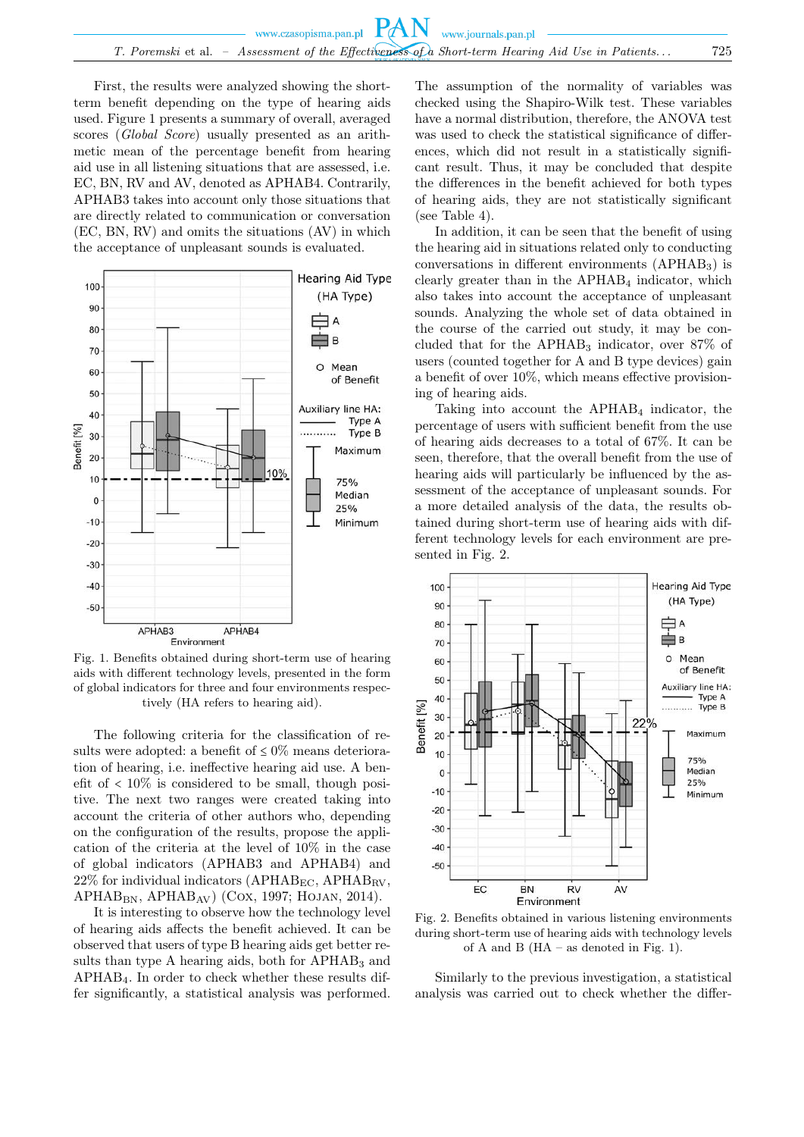First, the results were analyzed showing the shortterm benefit depending on the type of hearing aids used. Figure 1 presents a summary of overall, averaged scores (Global Score) usually presented as an arithmetic mean of the percentage benefit from hearing aid use in all listening situations that are assessed, i.e. EC, BN, RV and AV, denoted as APHAB4. Contrarily, APHAB3 takes into account only those situations that are directly related to communication or conversation (EC, BN, RV) and omits the situations (AV) in which the acceptance of unpleasant sounds is evaluated.



Fig. 1. Benefits obtained during short-term use of hearing aids with different technology levels, presented in the form of global indicators for three and four environments respectively (HA refers to hearing aid).

The following criteria for the classification of results were adopted: a benefit of  $\leq 0\%$  means deterioration of hearing, i.e. ineffective hearing aid use. A benefit of  $\langle 10\%$  is considered to be small, though positive. The next two ranges were created taking into account the criteria of other authors who, depending on the configuration of the results, propose the application of the criteria at the level of 10% in the case of global indicators (APHAB3 and APHAB4) and  $22\%$  for individual indicators (APHAB<sub>EC</sub>, APHAB<sub>RV</sub>,  $APHAB_{BN}$ ,  $APHAB_{AV}$ ) (Cox, 1997; HOJAN, 2014).

It is interesting to observe how the technology level of hearing aids affects the benefit achieved. It can be observed that users of type B hearing aids get better results than type A hearing aids, both for  $APHAB<sub>3</sub>$  and APHAB4. In order to check whether these results differ significantly, a statistical analysis was performed.

The assumption of the normality of variables was checked using the Shapiro-Wilk test. These variables have a normal distribution, therefore, the ANOVA test was used to check the statistical significance of differences, which did not result in a statistically significant result. Thus, it may be concluded that despite the differences in the benefit achieved for both types of hearing aids, they are not statistically significant (see Table 4).

In addition, it can be seen that the benefit of using the hearing aid in situations related only to conducting conversations in different environments  $(APHAB<sub>3</sub>)$  is clearly greater than in the  $APHAB<sub>4</sub>$  indicator, which also takes into account the acceptance of unpleasant sounds. Analyzing the whole set of data obtained in the course of the carried out study, it may be concluded that for the  $APHAB_3$  indicator, over 87% of users (counted together for A and B type devices) gain a benefit of over 10%, which means effective provisioning of hearing aids.

Taking into account the  $APHAB<sub>4</sub>$  indicator, the percentage of users with sufficient benefit from the use of hearing aids decreases to a total of 67%. It can be seen, therefore, that the overall benefit from the use of hearing aids will particularly be influenced by the assessment of the acceptance of unpleasant sounds. For a more detailed analysis of the data, the results obtained during short-term use of hearing aids with different technology levels for each environment are presented in Fig. 2.



Fig. 2. Benefits obtained in various listening environments during short-term use of hearing aids with technology levels of A and B (HA – as denoted in Fig. 1).

Similarly to the previous investigation, a statistical analysis was carried out to check whether the differ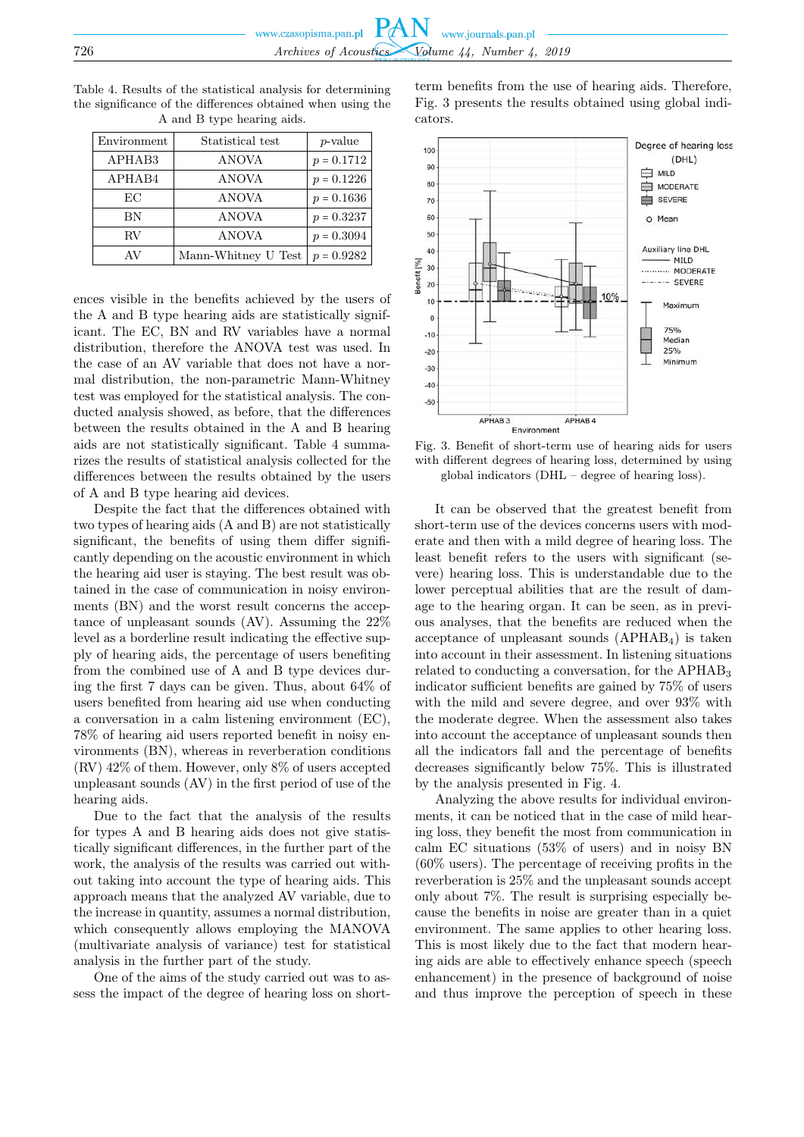Environment Statistical test p-value APHAB3 ANOVA  $p = 0.1712$ APHAB4  $\vert p = 0.1226$ EC ANOVA  $p = 0.1636$ BN  $\vert$  ANOVA  $\vert$   $p = 0.3237$ RV  $\vert$  ANOVA  $p = 0.3094$ AV Mann-Whitney U Test  $p = 0.9282$ 

Table 4. Results of the statistical analysis for determining the significance of the differences obtained when using the A and B type hearing aids.

ences visible in the benefits achieved by the users of the A and B type hearing aids are statistically significant. The EC, BN and RV variables have a normal distribution, therefore the ANOVA test was used. In the case of an AV variable that does not have a normal distribution, the non-parametric Mann-Whitney test was employed for the statistical analysis. The conducted analysis showed, as before, that the differences between the results obtained in the A and B hearing aids are not statistically significant. Table 4 summarizes the results of statistical analysis collected for the differences between the results obtained by the users of A and B type hearing aid devices.

Despite the fact that the differences obtained with two types of hearing aids (A and B) are not statistically significant, the benefits of using them differ significantly depending on the acoustic environment in which the hearing aid user is staying. The best result was obtained in the case of communication in noisy environments (BN) and the worst result concerns the acceptance of unpleasant sounds (AV). Assuming the 22% level as a borderline result indicating the effective supply of hearing aids, the percentage of users benefiting from the combined use of A and B type devices during the first 7 days can be given. Thus, about 64% of users benefited from hearing aid use when conducting a conversation in a calm listening environment (EC), 78% of hearing aid users reported benefit in noisy environments (BN), whereas in reverberation conditions (RV) 42% of them. However, only 8% of users accepted unpleasant sounds (AV) in the first period of use of the hearing aids.

Due to the fact that the analysis of the results for types A and B hearing aids does not give statistically significant differences, in the further part of the work, the analysis of the results was carried out without taking into account the type of hearing aids. This approach means that the analyzed AV variable, due to the increase in quantity, assumes a normal distribution, which consequently allows employing the MANOVA (multivariate analysis of variance) test for statistical analysis in the further part of the study.

One of the aims of the study carried out was to assess the impact of the degree of hearing loss on shortterm benefits from the use of hearing aids. Therefore, Fig. 3 presents the results obtained using global indicators.



Fig. 3. Benefit of short-term use of hearing aids for users with different degrees of hearing loss, determined by using global indicators (DHL – degree of hearing loss).

It can be observed that the greatest benefit from short-term use of the devices concerns users with moderate and then with a mild degree of hearing loss. The least benefit refers to the users with significant (severe) hearing loss. This is understandable due to the lower perceptual abilities that are the result of damage to the hearing organ. It can be seen, as in previous analyses, that the benefits are reduced when the acceptance of unpleasant sounds  $(APHAB<sub>4</sub>)$  is taken into account in their assessment. In listening situations related to conducting a conversation, for the APHAB<sup>3</sup> indicator sufficient benefits are gained by 75% of users with the mild and severe degree, and over 93% with the moderate degree. When the assessment also takes into account the acceptance of unpleasant sounds then all the indicators fall and the percentage of benefits decreases significantly below 75%. This is illustrated by the analysis presented in Fig. 4.

Analyzing the above results for individual environments, it can be noticed that in the case of mild hearing loss, they benefit the most from communication in calm EC situations (53% of users) and in noisy BN (60% users). The percentage of receiving profits in the reverberation is 25% and the unpleasant sounds accept only about 7%. The result is surprising especially because the benefits in noise are greater than in a quiet environment. The same applies to other hearing loss. This is most likely due to the fact that modern hearing aids are able to effectively enhance speech (speech enhancement) in the presence of background of noise and thus improve the perception of speech in these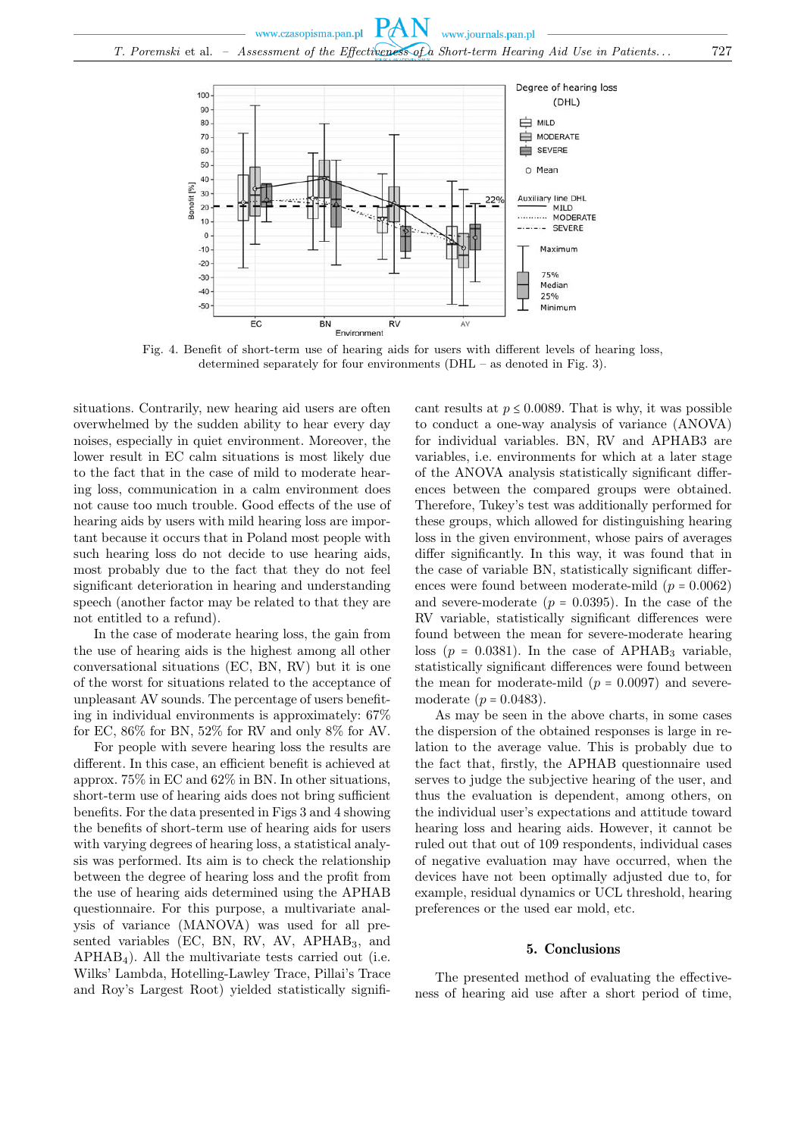

Fig. 4. Benefit of short-term use of hearing aids for users with different levels of hearing loss, determined separately for four environments (DHL – as denoted in Fig. 3).

situations. Contrarily, new hearing aid users are often overwhelmed by the sudden ability to hear every day noises, especially in quiet environment. Moreover, the lower result in EC calm situations is most likely due to the fact that in the case of mild to moderate hearing loss, communication in a calm environment does not cause too much trouble. Good effects of the use of hearing aids by users with mild hearing loss are important because it occurs that in Poland most people with such hearing loss do not decide to use hearing aids, most probably due to the fact that they do not feel significant deterioration in hearing and understanding speech (another factor may be related to that they are not entitled to a refund).

In the case of moderate hearing loss, the gain from the use of hearing aids is the highest among all other conversational situations (EC, BN, RV) but it is one of the worst for situations related to the acceptance of unpleasant AV sounds. The percentage of users benefiting in individual environments is approximately: 67% for EC, 86% for BN, 52% for RV and only 8% for AV.

For people with severe hearing loss the results are different. In this case, an efficient benefit is achieved at approx. 75% in EC and 62% in BN. In other situations, short-term use of hearing aids does not bring sufficient benefits. For the data presented in Figs 3 and 4 showing the benefits of short-term use of hearing aids for users with varying degrees of hearing loss, a statistical analysis was performed. Its aim is to check the relationship between the degree of hearing loss and the profit from the use of hearing aids determined using the APHAB questionnaire. For this purpose, a multivariate analysis of variance (MANOVA) was used for all presented variables (EC, BN, RV, AV, APHAB<sub>3</sub>, and  $APHAB<sub>4</sub>$ ). All the multivariate tests carried out (i.e. Wilks' Lambda, Hotelling-Lawley Trace, Pillai's Trace and Roy's Largest Root) yielded statistically signifi-

cant results at  $p \leq 0.0089$ . That is why, it was possible to conduct a one-way analysis of variance (ANOVA) for individual variables. BN, RV and APHAB3 are variables, i.e. environments for which at a later stage of the ANOVA analysis statistically significant differences between the compared groups were obtained. Therefore, Tukey's test was additionally performed for these groups, which allowed for distinguishing hearing loss in the given environment, whose pairs of averages differ significantly. In this way, it was found that in the case of variable BN, statistically significant differences were found between moderate-mild  $(p = 0.0062)$ and severe-moderate  $(p = 0.0395)$ . In the case of the RV variable, statistically significant differences were found between the mean for severe-moderate hearing loss ( $p = 0.0381$ ). In the case of APHAB<sub>3</sub> variable, statistically significant differences were found between the mean for moderate-mild  $(p = 0.0097)$  and severemoderate  $(p = 0.0483)$ .

As may be seen in the above charts, in some cases the dispersion of the obtained responses is large in relation to the average value. This is probably due to the fact that, firstly, the APHAB questionnaire used serves to judge the subjective hearing of the user, and thus the evaluation is dependent, among others, on the individual user's expectations and attitude toward hearing loss and hearing aids. However, it cannot be ruled out that out of 109 respondents, individual cases of negative evaluation may have occurred, when the devices have not been optimally adjusted due to, for example, residual dynamics or UCL threshold, hearing preferences or the used ear mold, etc.

### 5. Conclusions

The presented method of evaluating the effectiveness of hearing aid use after a short period of time,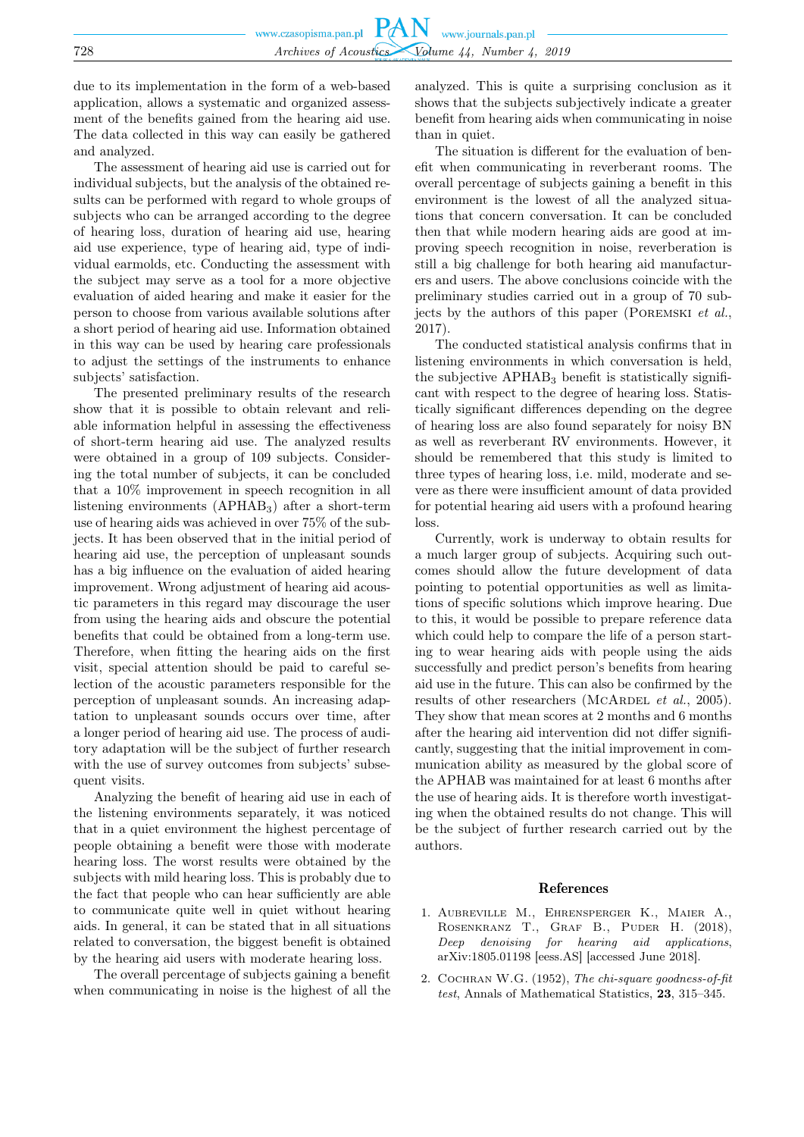due to its implementation in the form of a web-based application, allows a systematic and organized assessment of the benefits gained from the hearing aid use. The data collected in this way can easily be gathered and analyzed.

The assessment of hearing aid use is carried out for individual subjects, but the analysis of the obtained results can be performed with regard to whole groups of subjects who can be arranged according to the degree of hearing loss, duration of hearing aid use, hearing aid use experience, type of hearing aid, type of individual earmolds, etc. Conducting the assessment with the subject may serve as a tool for a more objective evaluation of aided hearing and make it easier for the person to choose from various available solutions after a short period of hearing aid use. Information obtained in this way can be used by hearing care professionals to adjust the settings of the instruments to enhance subjects' satisfaction.

The presented preliminary results of the research show that it is possible to obtain relevant and reliable information helpful in assessing the effectiveness of short-term hearing aid use. The analyzed results were obtained in a group of 109 subjects. Considering the total number of subjects, it can be concluded that a 10% improvement in speech recognition in all listening environments (APHAB3) after a short-term use of hearing aids was achieved in over 75% of the subjects. It has been observed that in the initial period of hearing aid use, the perception of unpleasant sounds has a big influence on the evaluation of aided hearing improvement. Wrong adjustment of hearing aid acoustic parameters in this regard may discourage the user from using the hearing aids and obscure the potential benefits that could be obtained from a long-term use. Therefore, when fitting the hearing aids on the first visit, special attention should be paid to careful selection of the acoustic parameters responsible for the perception of unpleasant sounds. An increasing adaptation to unpleasant sounds occurs over time, after a longer period of hearing aid use. The process of auditory adaptation will be the subject of further research with the use of survey outcomes from subjects' subsequent visits.

Analyzing the benefit of hearing aid use in each of the listening environments separately, it was noticed that in a quiet environment the highest percentage of people obtaining a benefit were those with moderate hearing loss. The worst results were obtained by the subjects with mild hearing loss. This is probably due to the fact that people who can hear sufficiently are able to communicate quite well in quiet without hearing aids. In general, it can be stated that in all situations related to conversation, the biggest benefit is obtained by the hearing aid users with moderate hearing loss.

The overall percentage of subjects gaining a benefit when communicating in noise is the highest of all the analyzed. This is quite a surprising conclusion as it shows that the subjects subjectively indicate a greater benefit from hearing aids when communicating in noise than in quiet.

The situation is different for the evaluation of benefit when communicating in reverberant rooms. The overall percentage of subjects gaining a benefit in this environment is the lowest of all the analyzed situations that concern conversation. It can be concluded then that while modern hearing aids are good at improving speech recognition in noise, reverberation is still a big challenge for both hearing aid manufacturers and users. The above conclusions coincide with the preliminary studies carried out in a group of 70 subjects by the authors of this paper (Poremski et al., 2017).

The conducted statistical analysis confirms that in listening environments in which conversation is held, the subjective  $APHAB<sub>3</sub>$  benefit is statistically significant with respect to the degree of hearing loss. Statistically significant differences depending on the degree of hearing loss are also found separately for noisy BN as well as reverberant RV environments. However, it should be remembered that this study is limited to three types of hearing loss, i.e. mild, moderate and severe as there were insufficient amount of data provided for potential hearing aid users with a profound hearing loss.

Currently, work is underway to obtain results for a much larger group of subjects. Acquiring such outcomes should allow the future development of data pointing to potential opportunities as well as limitations of specific solutions which improve hearing. Due to this, it would be possible to prepare reference data which could help to compare the life of a person starting to wear hearing aids with people using the aids successfully and predict person's benefits from hearing aid use in the future. This can also be confirmed by the results of other researchers (MCARDEL et al., 2005). They show that mean scores at 2 months and 6 months after the hearing aid intervention did not differ significantly, suggesting that the initial improvement in communication ability as measured by the global score of the APHAB was maintained for at least 6 months after the use of hearing aids. It is therefore worth investigating when the obtained results do not change. This will be the subject of further research carried out by the authors.

#### References

- 1. Aubreville M., Ehrensperger K., Maier A., ROSENKRANZ T., GRAF B., PUDER H. (2018), Deep denoising for hearing aid applications, arXiv:1805.01198 [eess.AS] [accessed June 2018].
- 2. Cochran W.G. (1952), The chi-square goodness-of-fit test, Annals of Mathematical Statistics, 23, 315–345.